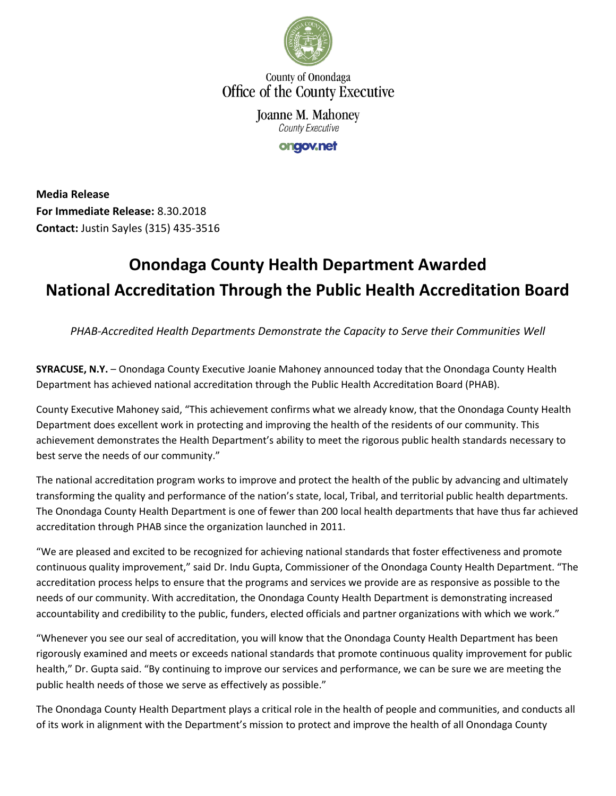

County of Onondaga Office of the County Executive

> Joanne M. Mahoney **County Executive**

> > ongov.net

**Media Release For Immediate Release:** 8.30.2018 **Contact:** Justin Sayles (315) 435-3516

## **Onondaga County Health Department Awarded National Accreditation Through the Public Health Accreditation Board**

*PHAB-Accredited Health Departments Demonstrate the Capacity to Serve their Communities Well*

**SYRACUSE, N.Y.** – Onondaga County Executive Joanie Mahoney announced today that the Onondaga County Health Department has achieved national accreditation through the Public Health Accreditation Board (PHAB).

County Executive Mahoney said, "This achievement confirms what we already know, that the Onondaga County Health Department does excellent work in protecting and improving the health of the residents of our community. This achievement demonstrates the Health Department's ability to meet the rigorous public health standards necessary to best serve the needs of our community."

The national accreditation program works to improve and protect the health of the public by advancing and ultimately transforming the quality and performance of the nation's state, local, Tribal, and territorial public health departments. The Onondaga County Health Department is one of fewer than 200 local health departments that have thus far achieved accreditation through PHAB since the organization launched in 2011.

"We are pleased and excited to be recognized for achieving national standards that foster effectiveness and promote continuous quality improvement," said Dr. Indu Gupta, Commissioner of the Onondaga County Health Department. "The accreditation process helps to ensure that the programs and services we provide are as responsive as possible to the needs of our community. With accreditation, the Onondaga County Health Department is demonstrating increased accountability and credibility to the public, funders, elected officials and partner organizations with which we work."

"Whenever you see our seal of accreditation, you will know that the Onondaga County Health Department has been rigorously examined and meets or exceeds national standards that promote continuous quality improvement for public health," Dr. Gupta said. "By continuing to improve our services and performance, we can be sure we are meeting the public health needs of those we serve as effectively as possible."

The Onondaga County Health Department plays a critical role in the health of people and communities, and conducts all of its work in alignment with the Department's mission to protect and improve the health of all Onondaga County